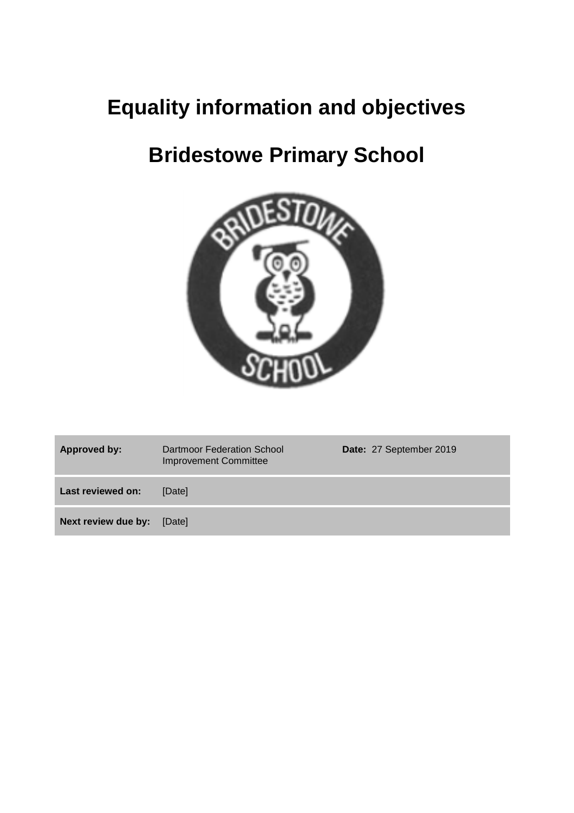# **Equality information and objectives**

# **Bridestowe Primary School**



| <b>Approved by:</b> | Dartmoor Federation School<br><b>Improvement Committee</b> | Date: 27 September 2019 |
|---------------------|------------------------------------------------------------|-------------------------|
| Last reviewed on:   | [Date]                                                     |                         |
| Next review due by: | [Date]                                                     |                         |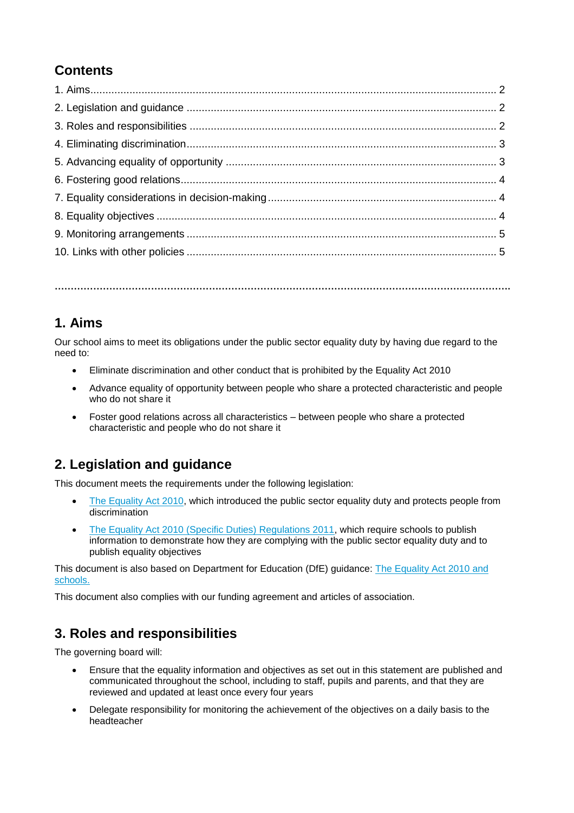# **Contents**

**…………………………………………………………………………………………………………………………….**

### **1. Aims**

Our school aims to meet its obligations under the public sector equality duty by having due regard to the need to:

- Eliminate discrimination and other conduct that is prohibited by the Equality Act 2010
- Advance equality of opportunity between people who share a protected characteristic and people who do not share it
- Foster good relations across all characteristics between people who share a protected characteristic and people who do not share it

## **2. Legislation and guidance**

This document meets the requirements under the following legislation:

- [The Equality Act 2010,](http://www.legislation.gov.uk/ukpga/2010/15/contents) which introduced the public sector equality duty and protects people from discrimination
- [The Equality Act 2010 \(Specific Duties\) Regulations 2011,](http://www.legislation.gov.uk/uksi/2011/2260/contents/made) which require schools to publish information to demonstrate how they are complying with the public sector equality duty and to publish equality objectives

This document is also based on Department for Education (DfE) guidance: [The Equality Act 2010 and](https://www.gov.uk/government/uploads/system/uploads/attachment_data/file/315587/Equality_Act_Advice_Final.pdf)  [schools.](https://www.gov.uk/government/uploads/system/uploads/attachment_data/file/315587/Equality_Act_Advice_Final.pdf) 

This document also complies with our funding agreement and articles of association.

## **3. Roles and responsibilities**

The governing board will:

- Ensure that the equality information and objectives as set out in this statement are published and communicated throughout the school, including to staff, pupils and parents, and that they are reviewed and updated at least once every four years
- Delegate responsibility for monitoring the achievement of the objectives on a daily basis to the headteacher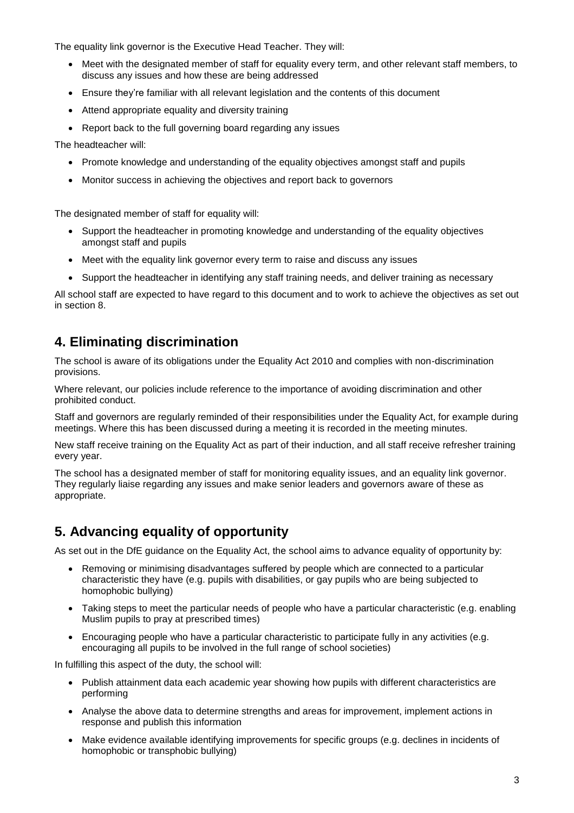The equality link governor is the Executive Head Teacher. They will:

- Meet with the designated member of staff for equality every term, and other relevant staff members, to discuss any issues and how these are being addressed
- Ensure they're familiar with all relevant legislation and the contents of this document
- Attend appropriate equality and diversity training
- Report back to the full governing board regarding any issues

The headteacher will:

- Promote knowledge and understanding of the equality objectives amongst staff and pupils
- Monitor success in achieving the objectives and report back to governors

The designated member of staff for equality will:

- Support the headteacher in promoting knowledge and understanding of the equality objectives amongst staff and pupils
- Meet with the equality link governor every term to raise and discuss any issues
- Support the headteacher in identifying any staff training needs, and deliver training as necessary

All school staff are expected to have regard to this document and to work to achieve the objectives as set out in section 8.

### **4. Eliminating discrimination**

The school is aware of its obligations under the Equality Act 2010 and complies with non-discrimination provisions.

Where relevant, our policies include reference to the importance of avoiding discrimination and other prohibited conduct.

Staff and governors are regularly reminded of their responsibilities under the Equality Act, for example during meetings. Where this has been discussed during a meeting it is recorded in the meeting minutes.

New staff receive training on the Equality Act as part of their induction, and all staff receive refresher training every year.

The school has a designated member of staff for monitoring equality issues, and an equality link governor. They regularly liaise regarding any issues and make senior leaders and governors aware of these as appropriate.

### **5. Advancing equality of opportunity**

As set out in the DfE guidance on the Equality Act, the school aims to advance equality of opportunity by:

- Removing or minimising disadvantages suffered by people which are connected to a particular characteristic they have (e.g. pupils with disabilities, or gay pupils who are being subjected to homophobic bullying)
- Taking steps to meet the particular needs of people who have a particular characteristic (e.g. enabling Muslim pupils to pray at prescribed times)
- Encouraging people who have a particular characteristic to participate fully in any activities (e.g. encouraging all pupils to be involved in the full range of school societies)

In fulfilling this aspect of the duty, the school will:

- Publish attainment data each academic year showing how pupils with different characteristics are performing
- Analyse the above data to determine strengths and areas for improvement, implement actions in response and publish this information
- Make evidence available identifying improvements for specific groups (e.g. declines in incidents of homophobic or transphobic bullying)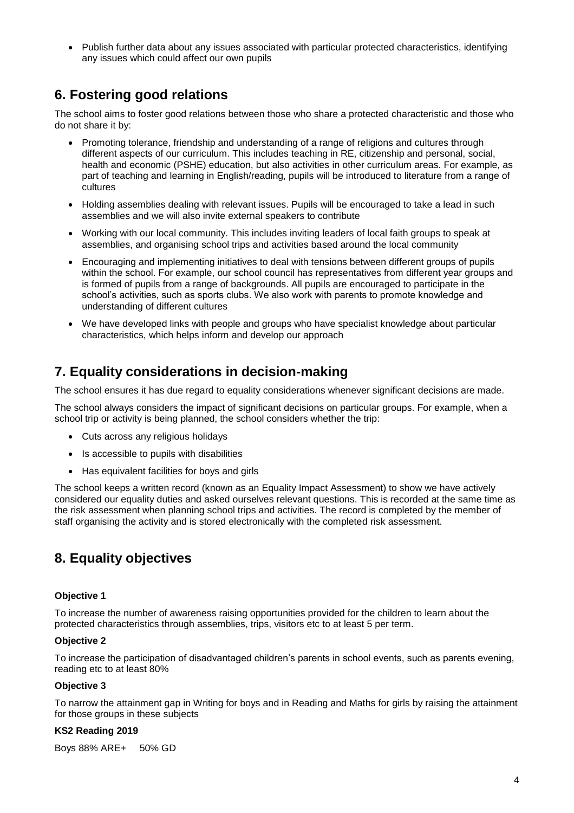Publish further data about any issues associated with particular protected characteristics, identifying any issues which could affect our own pupils

### **6. Fostering good relations**

The school aims to foster good relations between those who share a protected characteristic and those who do not share it by:

- Promoting tolerance, friendship and understanding of a range of religions and cultures through different aspects of our curriculum. This includes teaching in RE, citizenship and personal, social, health and economic (PSHE) education, but also activities in other curriculum areas. For example, as part of teaching and learning in English/reading, pupils will be introduced to literature from a range of cultures
- Holding assemblies dealing with relevant issues. Pupils will be encouraged to take a lead in such assemblies and we will also invite external speakers to contribute
- Working with our local community. This includes inviting leaders of local faith groups to speak at assemblies, and organising school trips and activities based around the local community
- Encouraging and implementing initiatives to deal with tensions between different groups of pupils within the school. For example, our school council has representatives from different year groups and is formed of pupils from a range of backgrounds. All pupils are encouraged to participate in the school's activities, such as sports clubs. We also work with parents to promote knowledge and understanding of different cultures
- We have developed links with people and groups who have specialist knowledge about particular characteristics, which helps inform and develop our approach

# **7. Equality considerations in decision-making**

The school ensures it has due regard to equality considerations whenever significant decisions are made.

The school always considers the impact of significant decisions on particular groups. For example, when a school trip or activity is being planned, the school considers whether the trip:

- Cuts across any religious holidays
- Is accessible to pupils with disabilities
- Has equivalent facilities for boys and girls

The school keeps a written record (known as an Equality Impact Assessment) to show we have actively considered our equality duties and asked ourselves relevant questions. This is recorded at the same time as the risk assessment when planning school trips and activities. The record is completed by the member of staff organising the activity and is stored electronically with the completed risk assessment.

## **8. Equality objectives**

#### **Objective 1**

To increase the number of awareness raising opportunities provided for the children to learn about the protected characteristics through assemblies, trips, visitors etc to at least 5 per term.

#### **Objective 2**

To increase the participation of disadvantaged children's parents in school events, such as parents evening, reading etc to at least 80%

#### **Objective 3**

To narrow the attainment gap in Writing for boys and in Reading and Maths for girls by raising the attainment for those groups in these subjects

#### **KS2 Reading 2019**

Boys 88% ARE+ 50% GD